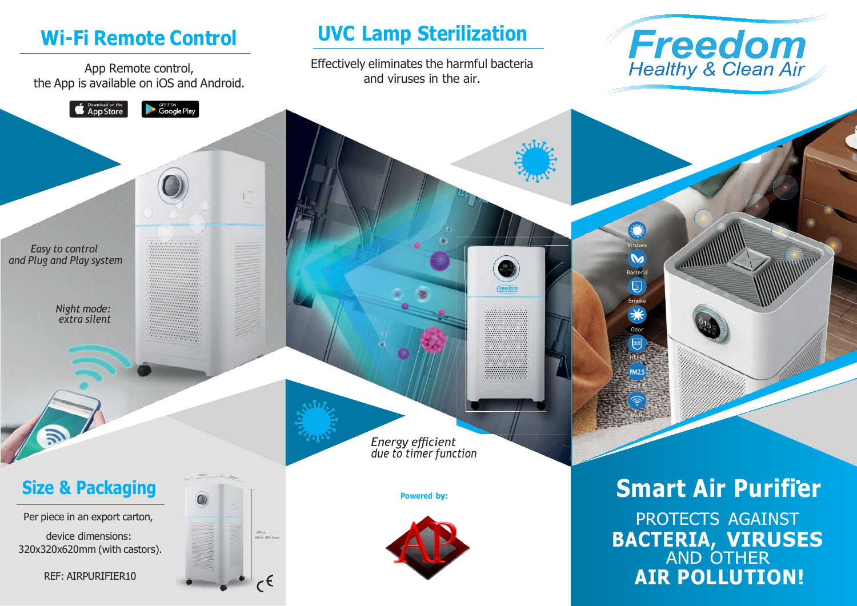# **Wi-Fi Remote Control**

App Remote control, the App is available on iOS and Android.

**GET IT ON**<br>Google Play

**Conduction** the App Store

# **UVC Lamp Sterilization**

Effectively eliminates the harmful bacteria and viruses in the air.



 $\boldsymbol{\omega}$ Bacteria  $\bigcirc$ Smoke

> Odor  $cn20$

*Easy to control and Plug and Play system*

> *Night mode: extra silent*

> > *Energy efficient due to timer function*



device dimensions: 320x320x620mm (with castors).

REF: AIRPURIFIER10



 $\epsilon^\epsilon$ 

**EDIRECTE IS SMARTER AIR PURIFIER** Per piece in an export carton, **PROTECTS AGAINST BACTERIA, VIRUSES** AND OTHER **AIR POLLUTION!**